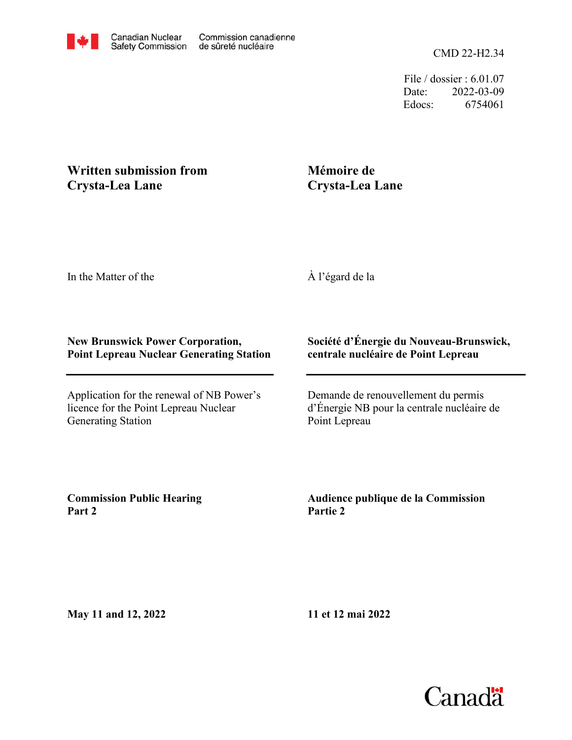CMD 22-H2.34

File / dossier : 6.01.07 Date: 2022-03-09 Edocs: 6754061

## **Written submission from Crysta-Lea Lane**

## **Mémoire de Crysta-Lea Lane**

In the Matter of the

À l'égard de la

## **New Brunswick Power Corporation, Point Lepreau Nuclear Generating Station**

Application for the renewal of NB Power's licence for the Point Lepreau Nuclear Generating Station

## **Société d'Énergie du Nouveau-Brunswick, centrale nucléaire de Point Lepreau**

Demande de renouvellement du permis d'Énergie NB pour la centrale nucléaire de Point Lepreau

**Commission Public Hearing Part 2**

**Audience publique de la Commission Partie 2**

**May 11 and 12, 2022**

**11 et 12 mai 2022**